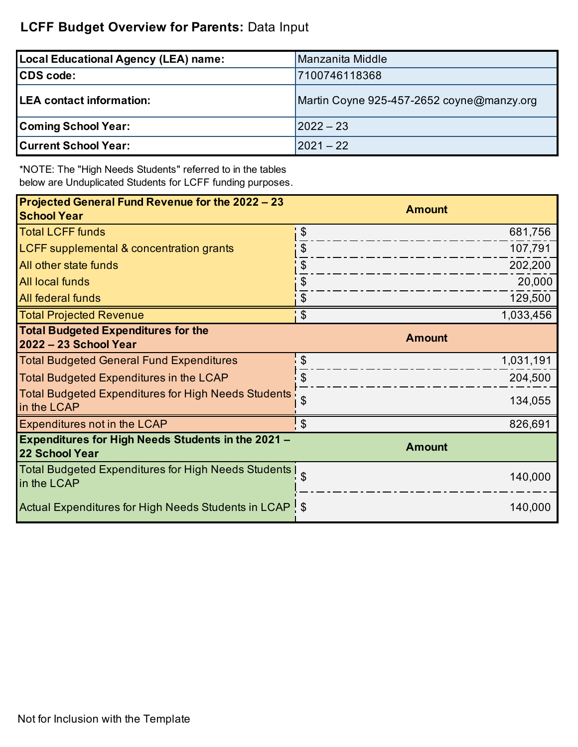### **LCFF Budget Overview for Parents:** Data Input

| <b>Local Educational Agency (LEA) name:</b> | Manzanita Middle                          |
|---------------------------------------------|-------------------------------------------|
| <b>CDS</b> code:                            | 7100746118368                             |
| <b>LEA contact information:</b>             | Martin Coyne 925-457-2652 coyne@manzy.org |
| <b>Coming School Year:</b>                  | $ 2022 - 23$                              |
| <b>Current School Year:</b>                 | 2021 – 22                                 |

\*NOTE: The "High Needs Students" referred to in the tables below are Unduplicated Students for LCFF funding purposes.

| Projected General Fund Revenue for the 2022 - 23<br><b>School Year</b>             | <b>Amount</b>                        |
|------------------------------------------------------------------------------------|--------------------------------------|
| <b>Total LCFF funds</b>                                                            | $\boldsymbol{\mathsf{S}}$<br>681,756 |
| LCFF supplemental & concentration grants                                           | $\boldsymbol{\theta}$<br>107,791     |
| All other state funds                                                              | 202,200<br>\$                        |
| All local funds                                                                    | \$<br>20,000                         |
| All federal funds                                                                  | \$<br>129,500                        |
| <b>Total Projected Revenue</b>                                                     | $\mathcal{S}$<br>1,033,456           |
| <b>Total Budgeted Expenditures for the</b><br>2022 - 23 School Year                | <b>Amount</b>                        |
| <b>Total Budgeted General Fund Expenditures</b>                                    | \$<br>1,031,191                      |
| <b>Total Budgeted Expenditures in the LCAP</b>                                     | 204,500                              |
| <b>Total Budgeted Expenditures for High Needs Students</b><br>in the LCAP          | \$<br>134,055                        |
| Expenditures not in the LCAP                                                       | $\boldsymbol{\mathsf{S}}$<br>826,691 |
| <b>Expenditures for High Needs Students in the 2021 -</b><br><b>22 School Year</b> | <b>Amount</b>                        |
| <b>Total Budgeted Expenditures for High Needs Students</b><br>in the LCAP          | \$<br>140,000                        |
| Actual Expenditures for High Needs Students in LCAP \ \$                           | 140,000                              |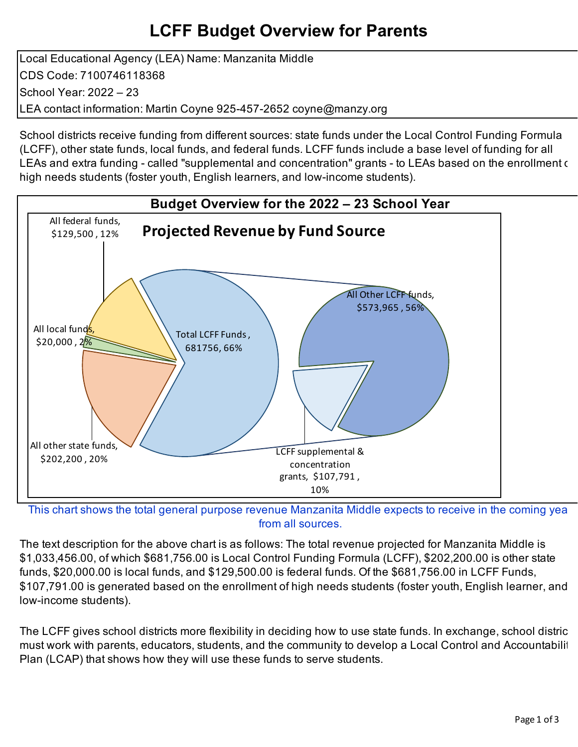# **LCFF Budget Overview for Parents**

Local Educational Agency (LEA) Name: Manzanita Middle CDS Code: 7100746118368 School Year: 2022 – 23 LEA contact information: Martin Coyne 925-457-2652 coyne@manzy.org

School districts receive funding from different sources: state funds under the Local Control Funding Formula (LCFF), other state funds, local funds, and federal funds. LCFF funds include a base level of funding for all LEAs and extra funding - called "supplemental and concentration" grants - to LEAs based on the enrollment of high needs students (foster youth, English learners, and low-income students).



This chart shows the total general purpose revenue Manzanita Middle expects to receive in the coming yea from all sources.

The text description for the above chart is as follows: The total revenue projected for Manzanita Middle is \$1,033,456.00, of which \$681,756.00 is Local Control Funding Formula (LCFF), \$202,200.00 is other state funds, \$20,000.00 is local funds, and \$129,500.00 is federal funds. Of the \$681,756.00 in LCFF Funds, \$107,791.00 is generated based on the enrollment of high needs students (foster youth, English learner, and low-income students).

The LCFF gives school districts more flexibility in deciding how to use state funds. In exchange, school distric must work with parents, educators, students, and the community to develop a Local Control and Accountabiliti Plan (LCAP) that shows how they will use these funds to serve students.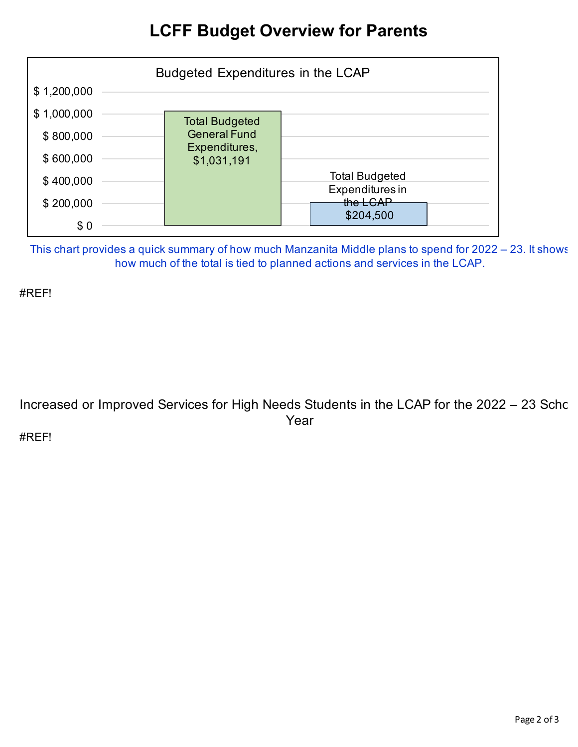## **LCFF Budget Overview for Parents**



This chart provides a quick summary of how much Manzanita Middle plans to spend for 2022 – 23. It shows how much of the total is tied to planned actions and services in the LCAP.

#REF!

Increased or Improved Services for High Needs Students in the LCAP for the 2022 - 23 Schc Year

#REF!